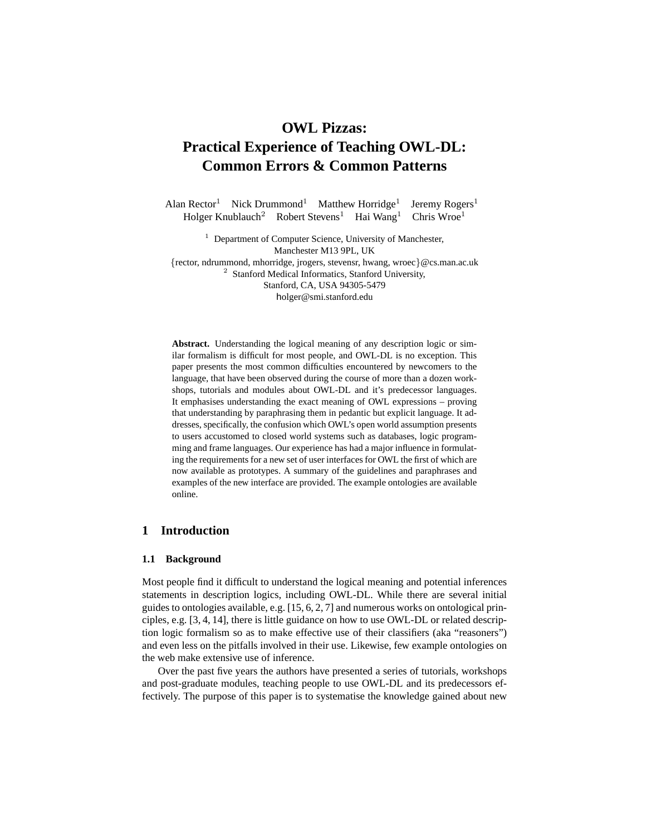# **OWL Pizzas: Practical Experience of Teaching OWL-DL: Common Errors & Common Patterns**

Alan Rector<sup>1</sup> Nick Drummond<sup>1</sup> Matthew Horridge<sup>1</sup> Jeremy Rogers<sup>1</sup> Holger Knublauch<sup>2</sup> Robert Stevens<sup>1</sup> Hai Wang<sup>1</sup> Chris Wroe<sup>1</sup>

<sup>1</sup> Department of Computer Science, University of Manchester, Manchester M13 9PL, UK {rector, ndrummond, mhorridge, jrogers, stevensr, hwang, wroec}@cs.man.ac.uk 2 Stanford Medical Informatics, Stanford University, Stanford, CA, USA 94305-5479 holger@smi.stanford.edu

**Abstract.** Understanding the logical meaning of any description logic or similar formalism is difficult for most people, and OWL-DL is no exception. This paper presents the most common difficulties encountered by newcomers to the language, that have been observed during the course of more than a dozen workshops, tutorials and modules about OWL-DL and it's predecessor languages. It emphasises understanding the exact meaning of OWL expressions – proving that understanding by paraphrasing them in pedantic but explicit language. It addresses, specifically, the confusion which OWL's open world assumption presents to users accustomed to closed world systems such as databases, logic programming and frame languages. Our experience has had a major influence in formulating the requirements for a new set of user interfaces for OWL the first of which are now available as prototypes. A summary of the guidelines and paraphrases and examples of the new interface are provided. The example ontologies are available online.

### **1 Introduction**

#### **1.1 Background**

Most people find it difficult to understand the logical meaning and potential inferences statements in description logics, including OWL-DL. While there are several initial guides to ontologies available, e.g. [15, 6, 2, 7] and numerous works on ontological principles, e.g. [3, 4, 14], there is little guidance on how to use OWL-DL or related description logic formalism so as to make effective use of their classifiers (aka "reasoners") and even less on the pitfalls involved in their use. Likewise, few example ontologies on the web make extensive use of inference.

Over the past five years the authors have presented a series of tutorials, workshops and post-graduate modules, teaching people to use OWL-DL and its predecessors effectively. The purpose of this paper is to systematise the knowledge gained about new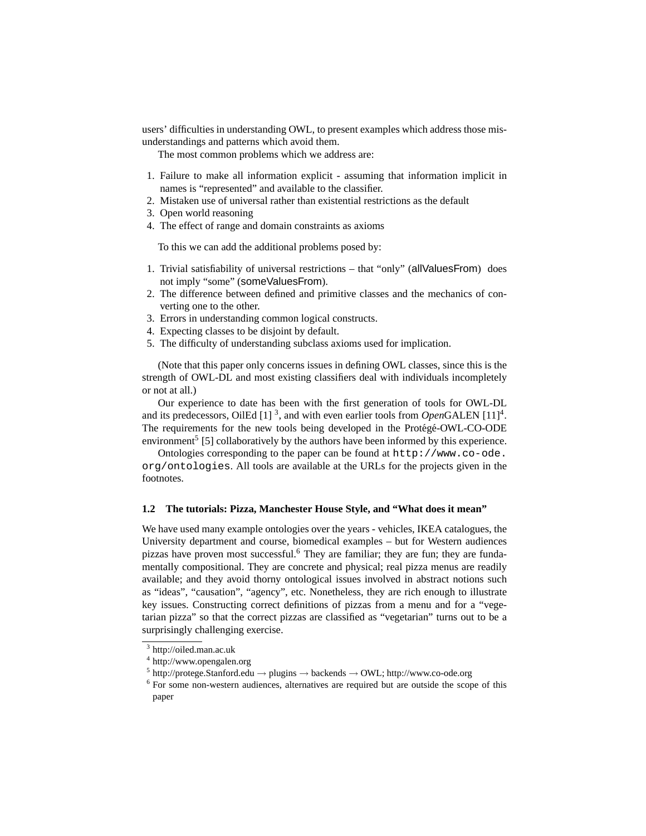users' difficulties in understanding OWL, to present examples which address those misunderstandings and patterns which avoid them.

The most common problems which we address are:

- 1. Failure to make all information explicit assuming that information implicit in names is "represented" and available to the classifier.
- 2. Mistaken use of universal rather than existential restrictions as the default
- 3. Open world reasoning
- 4. The effect of range and domain constraints as axioms

To this we can add the additional problems posed by:

- 1. Trivial satisfiability of universal restrictions that "only" (allValuesFrom) does not imply "some" (someValuesFrom).
- 2. The difference between defined and primitive classes and the mechanics of converting one to the other.
- 3. Errors in understanding common logical constructs.
- 4. Expecting classes to be disjoint by default.
- 5. The difficulty of understanding subclass axioms used for implication.

(Note that this paper only concerns issues in defining OWL classes, since this is the strength of OWL-DL and most existing classifiers deal with individuals incompletely or not at all.)

Our experience to date has been with the first generation of tools for OWL-DL and its predecessors, OilEd  $[1]$ <sup>3</sup>, and with even earlier tools from *Open*GALEN  $[11]$ <sup>4</sup>. The requirements for the new tools being developed in the Protégé-OWL-CO-ODE environment<sup>5</sup> [5] collaboratively by the authors have been informed by this experience.

Ontologies corresponding to the paper can be found at http://www.co-ode. org/ontologies. All tools are available at the URLs for the projects given in the footnotes.

### **1.2 The tutorials: Pizza, Manchester House Style, and "What does it mean"**

We have used many example ontologies over the years - vehicles, IKEA catalogues, the University department and course, biomedical examples – but for Western audiences pizzas have proven most successful.<sup>6</sup> They are familiar; they are fun; they are fundamentally compositional. They are concrete and physical; real pizza menus are readily available; and they avoid thorny ontological issues involved in abstract notions such as "ideas", "causation", "agency", etc. Nonetheless, they are rich enough to illustrate key issues. Constructing correct definitions of pizzas from a menu and for a "vegetarian pizza" so that the correct pizzas are classified as "vegetarian" turns out to be a surprisingly challenging exercise.

<sup>&</sup>lt;sup>3</sup> http://oiled.man.ac.uk

<sup>4</sup> http://www.opengalen.org

<sup>&</sup>lt;sup>5</sup> http://protege.Stanford.edu  $\rightarrow$  plugins  $\rightarrow$  backends  $\rightarrow$  OWL; http://www.co-ode.org

 $6$  For some non-western audiences, alternatives are required but are outside the scope of this paper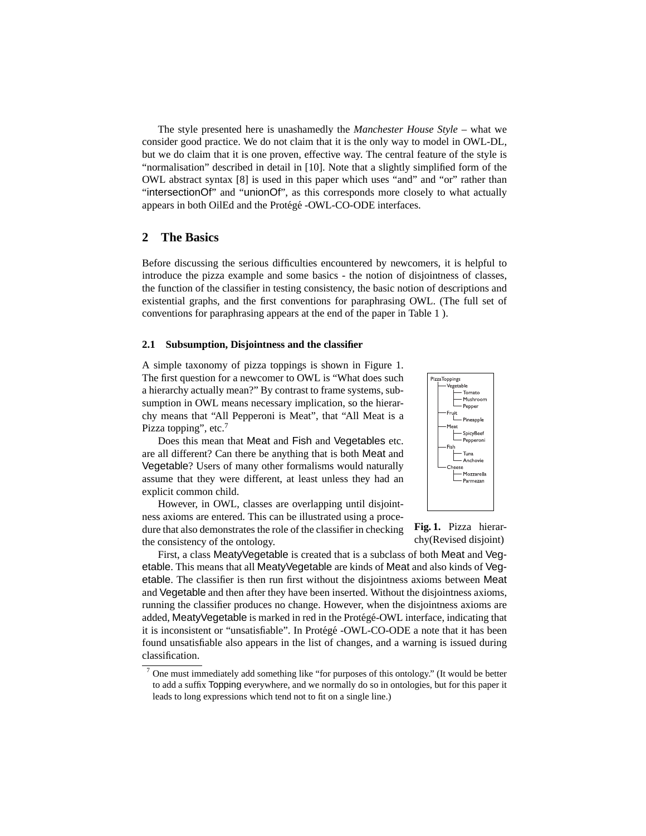The style presented here is unashamedly the *Manchester House Style* – what we consider good practice. We do not claim that it is the only way to model in OWL-DL, but we do claim that it is one proven, effective way. The central feature of the style is "normalisation" described in detail in [10]. Note that a slightly simplified form of the OWL abstract syntax [8] is used in this paper which uses "and" and "or" rather than "intersectionOf" and "unionOf", as this corresponds more closely to what actually appears in both OilEd and the Protégé -OWL-CO-ODE interfaces.

## **2 The Basics**

Before discussing the serious difficulties encountered by newcomers, it is helpful to introduce the pizza example and some basics - the notion of disjointness of classes, the function of the classifier in testing consistency, the basic notion of descriptions and existential graphs, and the first conventions for paraphrasing OWL. (The full set of conventions for paraphrasing appears at the end of the paper in Table 1 ).

#### **2.1 Subsumption, Disjointness and the classifier**

A simple taxonomy of pizza toppings is shown in Figure 1. The first question for a newcomer to OWL is "What does such a hierarchy actually mean?" By contrast to frame systems, subsumption in OWL means necessary implication, so the hierarchy means that "All Pepperoni is Meat", that "All Meat is a Pizza topping", etc.<sup>7</sup>

Does this mean that Meat and Fish and Vegetables etc. are all different? Can there be anything that is both Meat and Vegetable? Users of many other formalisms would naturally assume that they were different, at least unless they had an explicit common child.

However, in OWL, classes are overlapping until disjointness axioms are entered. This can be illustrated using a procedure that also demonstrates the role of the classifier in checking the consistency of the ontology.





First, a class MeatyVegetable is created that is a subclass of both Meat and Vegetable. This means that all MeatyVegetable are kinds of Meat and also kinds of Vegetable. The classifier is then run first without the disjointness axioms between Meat and Vegetable and then after they have been inserted. Without the disjointness axioms, running the classifier produces no change. However, when the disjointness axioms are added, MeatyVegetable is marked in red in the Protégé-OWL interface, indicating that it is inconsistent or "unsatisfiable". In Protégé -OWL-CO-ODE a note that it has been found unsatisfiable also appears in the list of changes, and a warning is issued during classification.

<sup>7</sup> One must immediately add something like "for purposes of this ontology." (It would be better to add a suffix Topping everywhere, and we normally do so in ontologies, but for this paper it leads to long expressions which tend not to fit on a single line.)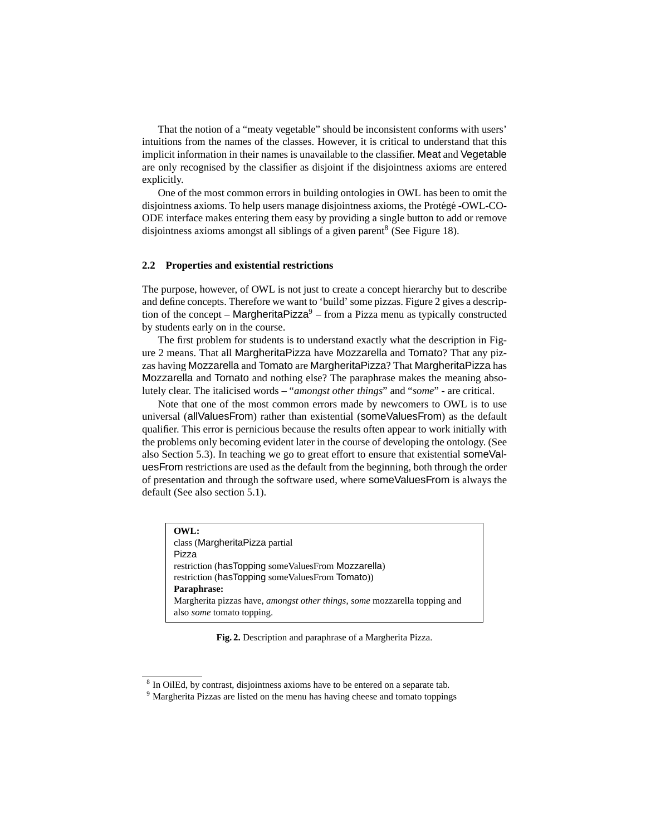That the notion of a "meaty vegetable" should be inconsistent conforms with users' intuitions from the names of the classes. However, it is critical to understand that this implicit information in their names is unavailable to the classifier. Meat and Vegetable are only recognised by the classifier as disjoint if the disjointness axioms are entered explicitly.

One of the most common errors in building ontologies in OWL has been to omit the disjointness axioms. To help users manage disjointness axioms, the Protégé - $OWL$ - $CO$ -ODE interface makes entering them easy by providing a single button to add or remove disjointness axioms amongst all siblings of a given parent<sup>8</sup> (See Figure 18).

### **2.2 Properties and existential restrictions**

The purpose, however, of OWL is not just to create a concept hierarchy but to describe and define concepts. Therefore we want to 'build' some pizzas. Figure 2 gives a description of the concept – MargheritaPizza<sup>9</sup> – from a Pizza menu as typically constructed by students early on in the course.

The first problem for students is to understand exactly what the description in Figure 2 means. That all MargheritaPizza have Mozzarella and Tomato? That any pizzas having Mozzarella and Tomato are MargheritaPizza? That MargheritaPizza has Mozzarella and Tomato and nothing else? The paraphrase makes the meaning absolutely clear. The italicised words – "*amongst other things*" and "*some*" - are critical.

Note that one of the most common errors made by newcomers to OWL is to use universal (allValuesFrom) rather than existential (someValuesFrom) as the default qualifier. This error is pernicious because the results often appear to work initially with the problems only becoming evident later in the course of developing the ontology. (See also Section 5.3). In teaching we go to great effort to ensure that existential someValuesFrom restrictions are used as the default from the beginning, both through the order of presentation and through the software used, where someValuesFrom is always the default (See also section 5.1).

| OWL:                                                                                     |
|------------------------------------------------------------------------------------------|
| class (MargheritaPizza partial                                                           |
| Pizza                                                                                    |
| restriction (hasTopping someValuesFrom Mozzarella)                                       |
| restriction (has Topping some Values From Tomato))                                       |
| Paraphrase:                                                                              |
| Margherita pizzas have, <i>amongst other things</i> , <i>some</i> mozzarella topping and |
| also <i>some</i> tomato topping.                                                         |

**Fig. 2.** Description and paraphrase of a Margherita Pizza.

<sup>&</sup>lt;sup>8</sup> In OilEd, by contrast, disjointness axioms have to be entered on a separate tab.

<sup>&</sup>lt;sup>9</sup> Margherita Pizzas are listed on the menu has having cheese and tomato toppings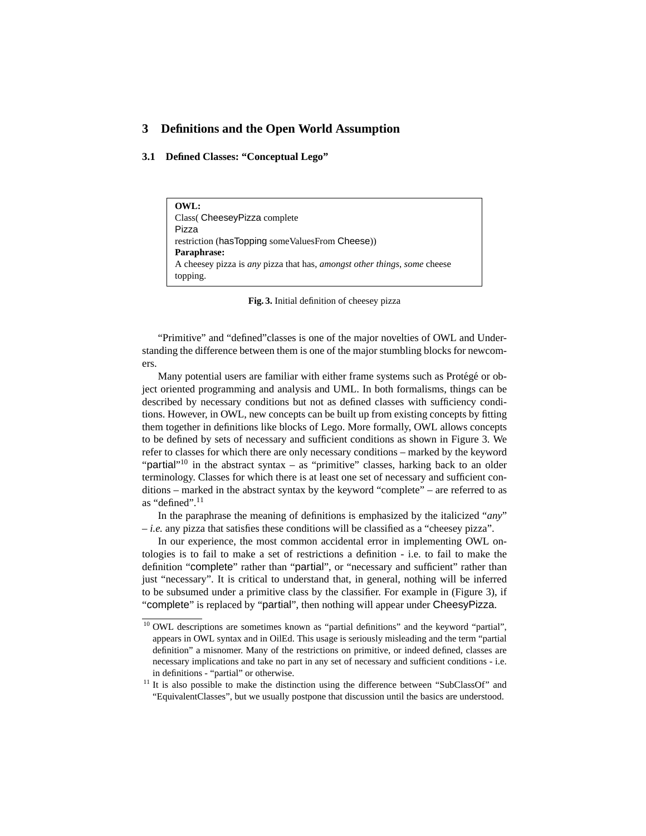# **3 Definitions and the Open World Assumption**

### **3.1 Defined Classes: "Conceptual Lego"**

| OWL:                                                                                           |
|------------------------------------------------------------------------------------------------|
| Class Cheesey Pizza complete                                                                   |
| Pizza                                                                                          |
| restriction (has Topping some Values From Cheese))                                             |
| Paraphrase:                                                                                    |
| A cheesey pizza is <i>any</i> pizza that has, <i>amongst other things</i> , <i>some</i> cheese |
| topping.                                                                                       |
|                                                                                                |

**Fig. 3.** Initial definition of cheesey pizza

"Primitive" and "defined"classes is one of the major novelties of OWL and Understanding the difference between them is one of the major stumbling blocks for newcomers.

Many potential users are familiar with either frame systems such as Protégé or object oriented programming and analysis and UML. In both formalisms, things can be described by necessary conditions but not as defined classes with sufficiency conditions. However, in OWL, new concepts can be built up from existing concepts by fitting them together in definitions like blocks of Lego. More formally, OWL allows concepts to be defined by sets of necessary and sufficient conditions as shown in Figure 3. We refer to classes for which there are only necessary conditions – marked by the keyword "partial"<sup>10</sup> in the abstract syntax  $-$  as "primitive" classes, harking back to an older terminology. Classes for which there is at least one set of necessary and sufficient conditions – marked in the abstract syntax by the keyword "complete" – are referred to as as "defined". $11$ 

In the paraphrase the meaning of definitions is emphasized by the italicized "*any*" – *i.e.* any pizza that satisfies these conditions will be classified as a "cheesey pizza".

In our experience, the most common accidental error in implementing OWL ontologies is to fail to make a set of restrictions a definition - i.e. to fail to make the definition "complete" rather than "partial", or "necessary and sufficient" rather than just "necessary". It is critical to understand that, in general, nothing will be inferred to be subsumed under a primitive class by the classifier. For example in (Figure 3), if "complete" is replaced by "partial", then nothing will appear under CheesyPizza.

<sup>&</sup>lt;sup>10</sup> OWL descriptions are sometimes known as "partial definitions" and the keyword "partial", appears in OWL syntax and in OilEd. This usage is seriously misleading and the term "partial definition" a misnomer. Many of the restrictions on primitive, or indeed defined, classes are necessary implications and take no part in any set of necessary and sufficient conditions - i.e. in definitions - "partial" or otherwise.

<sup>&</sup>lt;sup>11</sup> It is also possible to make the distinction using the difference between "SubClassOf" and "EquivalentClasses", but we usually postpone that discussion until the basics are understood.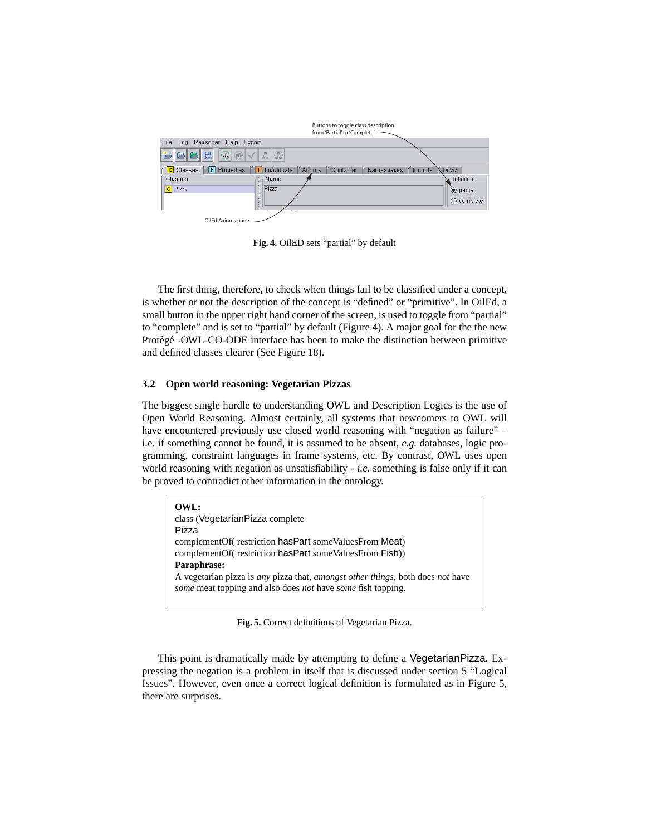

**Fig. 4.** OilED sets "partial" by default

The first thing, therefore, to check when things fail to be classified under a concept, is whether or not the description of the concept is "defined" or "primitive". In OilEd, a small button in the upper right hand corner of the screen, is used to toggle from "partial" to "complete" and is set to "partial" by default (Figure 4). A major goal for the the new Protégé -OWL-CO-ODE interface has been to make the distinction between primitive and defined classes clearer (See Figure 18).

### **3.2 Open world reasoning: Vegetarian Pizzas**

The biggest single hurdle to understanding OWL and Description Logics is the use of Open World Reasoning. Almost certainly, all systems that newcomers to OWL will have encountered previously use closed world reasoning with "negation as failure" – i.e. if something cannot be found, it is assumed to be absent, *e.g.* databases, logic programming, constraint languages in frame systems, etc. By contrast, OWL uses open world reasoning with negation as unsatisfiability - *i.e.* something is false only if it can be proved to contradict other information in the ontology.

| OWL:                                                                             |
|----------------------------------------------------------------------------------|
| class (VegetarianPizza complete)                                                 |
| Pizza                                                                            |
| complement Of (restriction has Part some Values From Meat)                       |
| complement Of (restriction has Part some Values From Fish))                      |
| Paraphrase:                                                                      |
| A vegetarian pizza is any pizza that, amongst other things, both does not have   |
| <i>some</i> meat topping and also does <i>not</i> have <i>some</i> fish topping. |
|                                                                                  |

**Fig. 5.** Correct definitions of Vegetarian Pizza.

This point is dramatically made by attempting to define a VegetarianPizza. Expressing the negation is a problem in itself that is discussed under section 5 "Logical Issues". However, even once a correct logical definition is formulated as in Figure 5, there are surprises.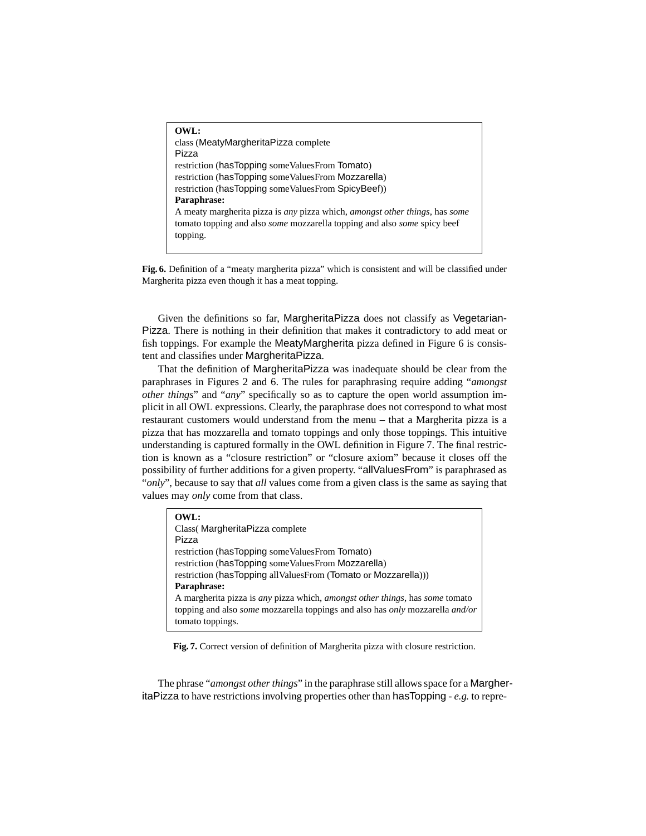| OWL:<br>class (MeatyMargheritaPizza complete)<br>Pizza                                 |
|----------------------------------------------------------------------------------------|
| restriction (hasTopping someValuesFrom Tomato)                                         |
| restriction (hasTopping someValuesFrom Mozzarella)                                     |
| restriction (hasTopping someValuesFrom SpicyBeef))                                     |
| Paraphrase:                                                                            |
| A meaty margherita pizza is any pizza which, amongst other things, has some            |
| tomato topping and also <i>some</i> mozzarella topping and also <i>some</i> spicy beef |
| topping.                                                                               |
|                                                                                        |

**Fig. 6.** Definition of a "meaty margherita pizza" which is consistent and will be classified under Margherita pizza even though it has a meat topping.

Given the definitions so far, MargheritaPizza does not classify as Vegetarian-Pizza. There is nothing in their definition that makes it contradictory to add meat or fish toppings. For example the MeatyMargherita pizza defined in Figure 6 is consistent and classifies under MargheritaPizza.

That the definition of MargheritaPizza was inadequate should be clear from the paraphrases in Figures 2 and 6. The rules for paraphrasing require adding "*amongst other things*" and "*any*" specifically so as to capture the open world assumption implicit in all OWL expressions. Clearly, the paraphrase does not correspond to what most restaurant customers would understand from the menu – that a Margherita pizza is a pizza that has mozzarella and tomato toppings and only those toppings. This intuitive understanding is captured formally in the OWL definition in Figure 7. The final restriction is known as a "closure restriction" or "closure axiom" because it closes off the possibility of further additions for a given property. "allValuesFrom" is paraphrased as "*only*", because to say that *all* values come from a given class is the same as saying that values may *only* come from that class.

| OWL:                                                                                               |  |  |
|----------------------------------------------------------------------------------------------------|--|--|
| Class(MargheritaPizza complete                                                                     |  |  |
| Pizza                                                                                              |  |  |
| restriction (has Topping some Values From Tomato)                                                  |  |  |
| restriction (hasTopping someValuesFrom Mozzarella)                                                 |  |  |
| restriction (has Topping all Values From (Tomato or Mozzarella)))                                  |  |  |
| Paraphrase:                                                                                        |  |  |
| A margherita pizza is any pizza which, amongst other things, has some tomato                       |  |  |
| topping and also <i>some</i> mozzarella toppings and also has <i>only</i> mozzarella <i>and/or</i> |  |  |
| tomato toppings.                                                                                   |  |  |
|                                                                                                    |  |  |

**Fig. 7.** Correct version of definition of Margherita pizza with closure restriction.

The phrase "*amongst other things*" in the paraphrase still allows space for a MargheritaPizza to have restrictions involving properties other than hasTopping - *e.g.* to repre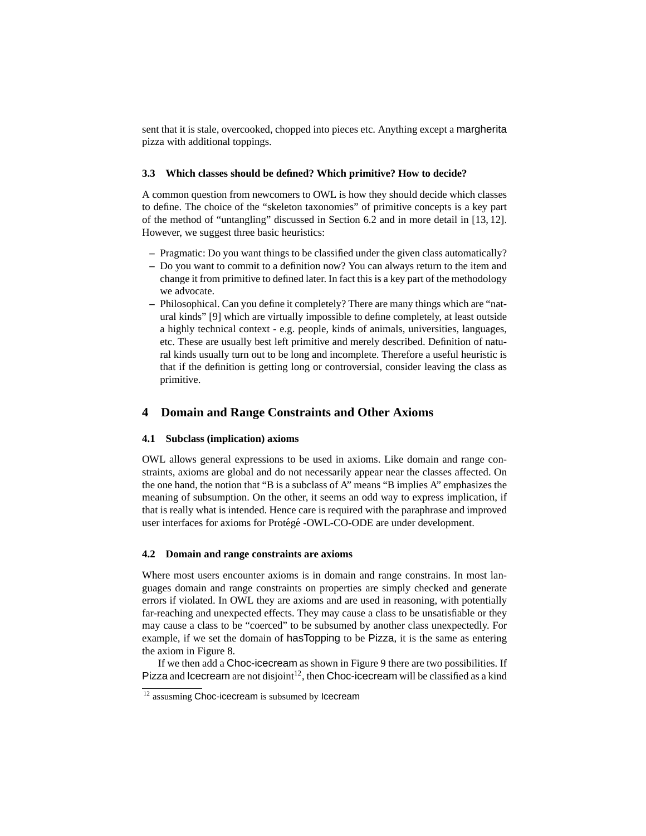sent that it is stale, overcooked, chopped into pieces etc. Anything except a margherita pizza with additional toppings.

### **3.3 Which classes should be defined? Which primitive? How to decide?**

A common question from newcomers to OWL is how they should decide which classes to define. The choice of the "skeleton taxonomies" of primitive concepts is a key part of the method of "untangling" discussed in Section 6.2 and in more detail in [13, 12]. However, we suggest three basic heuristics:

- **–** Pragmatic: Do you want things to be classified under the given class automatically?
- **–** Do you want to commit to a definition now? You can always return to the item and change it from primitive to defined later. In fact this is a key part of the methodology we advocate.
- **–** Philosophical. Can you define it completely? There are many things which are "natural kinds" [9] which are virtually impossible to define completely, at least outside a highly technical context - e.g. people, kinds of animals, universities, languages, etc. These are usually best left primitive and merely described. Definition of natural kinds usually turn out to be long and incomplete. Therefore a useful heuristic is that if the definition is getting long or controversial, consider leaving the class as primitive.

### **4 Domain and Range Constraints and Other Axioms**

### **4.1 Subclass (implication) axioms**

OWL allows general expressions to be used in axioms. Like domain and range constraints, axioms are global and do not necessarily appear near the classes affected. On the one hand, the notion that "B is a subclass of A" means "B implies A" emphasizes the meaning of subsumption. On the other, it seems an odd way to express implication, if that is really what is intended. Hence care is required with the paraphrase and improved user interfaces for axioms for Protégé -OWL-CO-ODE are under development.

#### **4.2 Domain and range constraints are axioms**

Where most users encounter axioms is in domain and range constrains. In most languages domain and range constraints on properties are simply checked and generate errors if violated. In OWL they are axioms and are used in reasoning, with potentially far-reaching and unexpected effects. They may cause a class to be unsatisfiable or they may cause a class to be "coerced" to be subsumed by another class unexpectedly. For example, if we set the domain of hasTopping to be Pizza, it is the same as entering the axiom in Figure 8.

If we then add a Choc-icecream as shown in Figure 9 there are two possibilities. If Pizza and Icecream are not disjoint<sup>12</sup>, then Choc-icecream will be classified as a kind

<sup>&</sup>lt;sup>12</sup> assusming Choc-icecream is subsumed by Icecream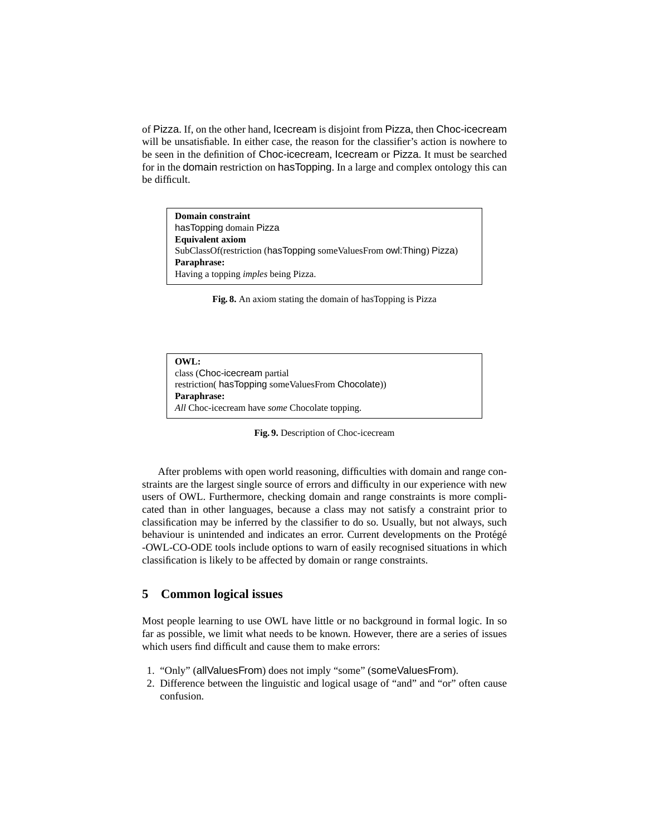of Pizza. If, on the other hand, Icecream is disjoint from Pizza, then Choc-icecream will be unsatisfiable. In either case, the reason for the classifier's action is nowhere to be seen in the definition of Choc-icecream, Icecream or Pizza. It must be searched for in the domain restriction on hasTopping. In a large and complex ontology this can be difficult.

**Domain constraint** hasTopping domain Pizza **Equivalent axiom** SubClassOf(restriction (hasTopping someValuesFrom owl:Thing) Pizza) **Paraphrase:** Having a topping *imples* being Pizza.

**Fig. 8.** An axiom stating the domain of hasTopping is Pizza

**Fig. 9.** Description of Choc-icecream

After problems with open world reasoning, difficulties with domain and range constraints are the largest single source of errors and difficulty in our experience with new users of OWL. Furthermore, checking domain and range constraints is more complicated than in other languages, because a class may not satisfy a constraint prior to classification may be inferred by the classifier to do so. Usually, but not always, such behaviour is unintended and indicates an error. Current developments on the Protégé -OWL-CO-ODE tools include options to warn of easily recognised situations in which classification is likely to be affected by domain or range constraints.

### **5 Common logical issues**

Most people learning to use OWL have little or no background in formal logic. In so far as possible, we limit what needs to be known. However, there are a series of issues which users find difficult and cause them to make errors:

- 1. "Only" (allValuesFrom) does not imply "some" (someValuesFrom).
- 2. Difference between the linguistic and logical usage of "and" and "or" often cause confusion.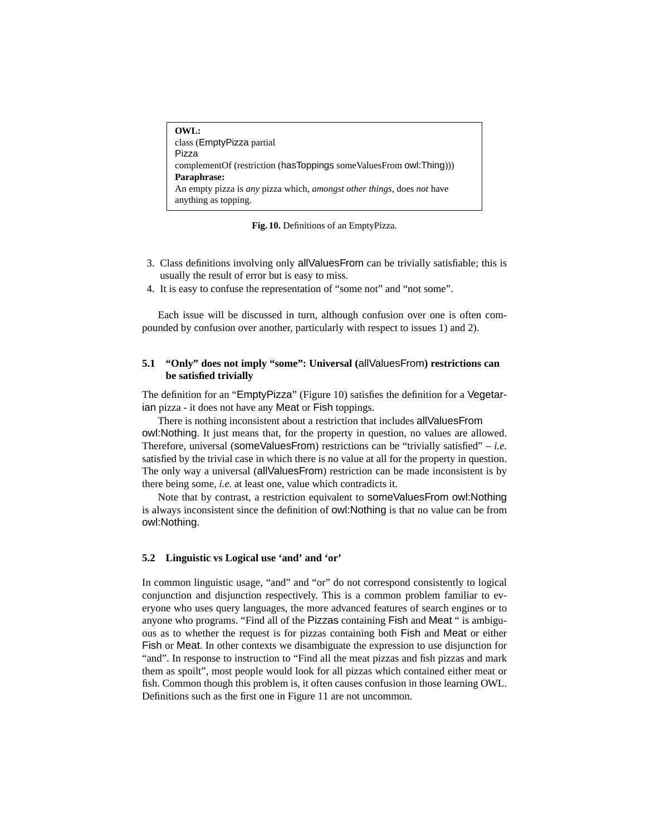| OWL:                                                                                         |
|----------------------------------------------------------------------------------------------|
| class (EmptyPizza partial)                                                                   |
| Pizza                                                                                        |
| complementOf (restriction (hasToppings someValuesFrom owl:Thing)))                           |
| Paraphrase:                                                                                  |
| An empty pizza is <i>any</i> pizza which, <i>amongst other things</i> , does <i>not</i> have |
| anything as topping.                                                                         |

**Fig. 10.** Definitions of an EmptyPizza.

- 3. Class definitions involving only allValuesFrom can be trivially satisfiable; this is usually the result of error but is easy to miss.
- 4. It is easy to confuse the representation of "some not" and "not some".

Each issue will be discussed in turn, although confusion over one is often compounded by confusion over another, particularly with respect to issues 1) and 2).

### **5.1 "Only" does not imply "some": Universal (**allValuesFrom**) restrictions can be satisfied trivially**

The definition for an "EmptyPizza" (Figure 10) satisfies the definition for a Vegetarian pizza - it does not have any Meat or Fish toppings.

There is nothing inconsistent about a restriction that includes allValuesFrom owl:Nothing. It just means that, for the property in question, no values are allowed. Therefore, universal (someValuesFrom) restrictions can be "trivially satisfied" – *i.e.* satisfied by the trivial case in which there is no value at all for the property in question. The only way a universal (allValuesFrom) restriction can be made inconsistent is by there being some, *i.e.* at least one, value which contradicts it.

Note that by contrast, a restriction equivalent to someValuesFrom owl:Nothing is always inconsistent since the definition of owl:Nothing is that no value can be from owl:Nothing.

### **5.2 Linguistic vs Logical use 'and' and 'or'**

In common linguistic usage, "and" and "or" do not correspond consistently to logical conjunction and disjunction respectively. This is a common problem familiar to everyone who uses query languages, the more advanced features of search engines or to anyone who programs. "Find all of the Pizzas containing Fish and Meat " is ambiguous as to whether the request is for pizzas containing both Fish and Meat or either Fish or Meat. In other contexts we disambiguate the expression to use disjunction for "and". In response to instruction to "Find all the meat pizzas and fish pizzas and mark them as spoilt", most people would look for all pizzas which contained either meat or fish. Common though this problem is, it often causes confusion in those learning OWL. Definitions such as the first one in Figure 11 are not uncommon.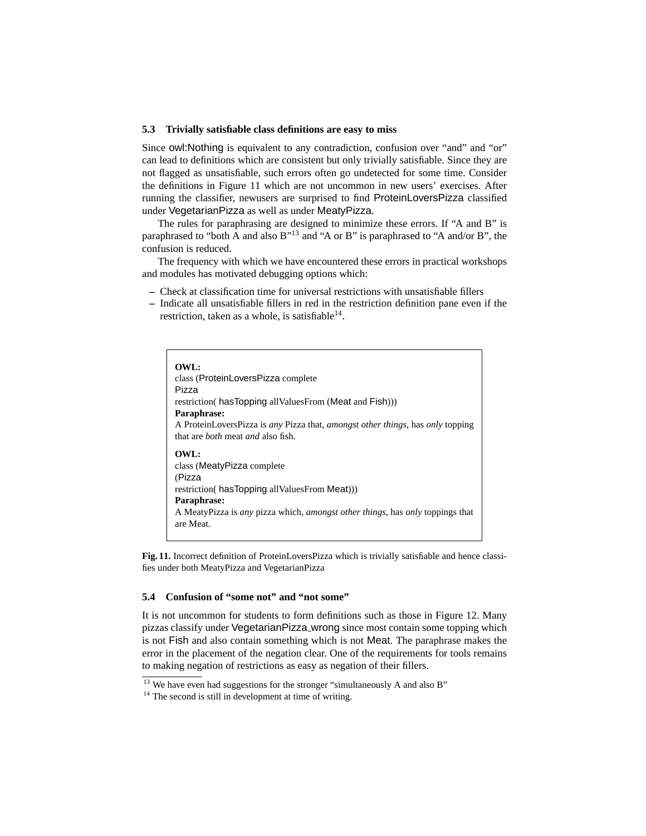### **5.3 Trivially satisfiable class definitions are easy to miss**

Since owl:Nothing is equivalent to any contradiction, confusion over "and" and "or" can lead to definitions which are consistent but only trivially satisfiable. Since they are not flagged as unsatisfiable, such errors often go undetected for some time. Consider the definitions in Figure 11 which are not uncommon in new users' exercises. After running the classifier, newusers are surprised to find ProteinLoversPizza classified under VegetarianPizza as well as under MeatyPizza.

The rules for paraphrasing are designed to minimize these errors. If "A and B" is paraphrased to "both A and also  $B''^{13}$  and "A or B" is paraphrased to "A and/or B", the confusion is reduced.

The frequency with which we have encountered these errors in practical workshops and modules has motivated debugging options which:

- **–** Check at classification time for universal restrictions with unsatisfiable fillers
- **–** Indicate all unsatisfiable fillers in red in the restriction definition pane even if the restriction, taken as a whole, is satisfiable $^{14}$ .

| OWL:<br>class (ProteinLoversPizza complete)<br>Pizza<br>restriction(hasTopping allValuesFrom (Meat and Fish)))<br>Paraphrase:<br>A ProteinLoversPizza is any Pizza that, amongst other things, has only topping<br>that are <i>both</i> meat <i>and</i> also fish. |
|--------------------------------------------------------------------------------------------------------------------------------------------------------------------------------------------------------------------------------------------------------------------|
| OWL:<br>class (MeatyPizza complete)<br>(Pizza<br>restriction(hasTopping allValuesFrom Meat))<br>Paraphrase:<br>A MeatyPizza is any pizza which, amongst other things, has only toppings that<br>are Meat.                                                          |

**Fig. 11.** Incorrect definition of ProteinLoversPizza which is trivially satisfiable and hence classifies under both MeatyPizza and VegetarianPizza

### **5.4 Confusion of "some not" and "not some"**

It is not uncommon for students to form definitions such as those in Figure 12. Many pizzas classify under VegetarianPizza wrong since most contain some topping which is not Fish and also contain something which is not Meat. The paraphrase makes the error in the placement of the negation clear. One of the requirements for tools remains to making negation of restrictions as easy as negation of their fillers.

<sup>&</sup>lt;sup>13</sup> We have even had suggestions for the stronger "simultaneously A and also B"

<sup>&</sup>lt;sup>14</sup> The second is still in development at time of writing.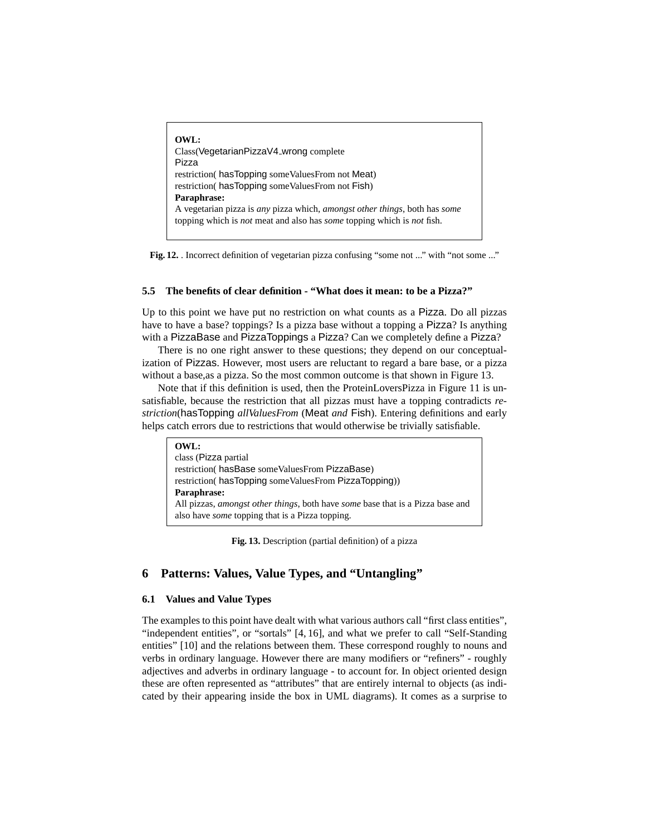| OWL:                                                                                             |
|--------------------------------------------------------------------------------------------------|
| Class (Vegetarian Pizza V4_wrong complete                                                        |
| Pizza                                                                                            |
| restriction (has Topping some Values From not Meat)                                              |
| restriction(hasTopping someValuesFrom not Fish)                                                  |
| Paraphrase:                                                                                      |
| A vegetarian pizza is <i>any</i> pizza which, <i>amongst other things</i> , both has <i>some</i> |
| topping which is <i>not</i> meat and also has <i>some</i> topping which is <i>not</i> fish.      |
|                                                                                                  |

**Fig. 12.** . Incorrect definition of vegetarian pizza confusing "some not ..." with "not some ..."

### **5.5 The benefits of clear definition - "What does it mean: to be a Pizza?"**

Up to this point we have put no restriction on what counts as a Pizza. Do all pizzas have to have a base? toppings? Is a pizza base without a topping a Pizza? Is anything with a PizzaBase and PizzaToppings a Pizza? Can we completely define a Pizza?

There is no one right answer to these questions; they depend on our conceptualization of Pizzas. However, most users are reluctant to regard a bare base, or a pizza without a base,as a pizza. So the most common outcome is that shown in Figure 13.

Note that if this definition is used, then the ProteinLoversPizza in Figure 11 is unsatisfiable, because the restriction that all pizzas must have a topping contradicts *restriction*(hasTopping *allValuesFrom* (Meat *and* Fish). Entering definitions and early helps catch errors due to restrictions that would otherwise be trivially satisfiable.

| OWL:                                                                                          |  |
|-----------------------------------------------------------------------------------------------|--|
| class (Pizza partial)                                                                         |  |
| restriction(hasBase someValuesFrom PizzaBase)                                                 |  |
| restriction (has Topping some Values From Pizza Topping))                                     |  |
| Paraphrase:                                                                                   |  |
| All pizzas, <i>amongst other things</i> , both have <i>some</i> base that is a Pizza base and |  |
| also have <i>some</i> topping that is a Pizza topping.                                        |  |

**Fig. 13.** Description (partial definition) of a pizza

# **6 Patterns: Values, Value Types, and "Untangling"**

### **6.1 Values and Value Types**

The examples to this point have dealt with what various authors call "first class entities", "independent entities", or "sortals" [4, 16], and what we prefer to call "Self-Standing entities" [10] and the relations between them. These correspond roughly to nouns and verbs in ordinary language. However there are many modifiers or "refiners" - roughly adjectives and adverbs in ordinary language - to account for. In object oriented design these are often represented as "attributes" that are entirely internal to objects (as indicated by their appearing inside the box in UML diagrams). It comes as a surprise to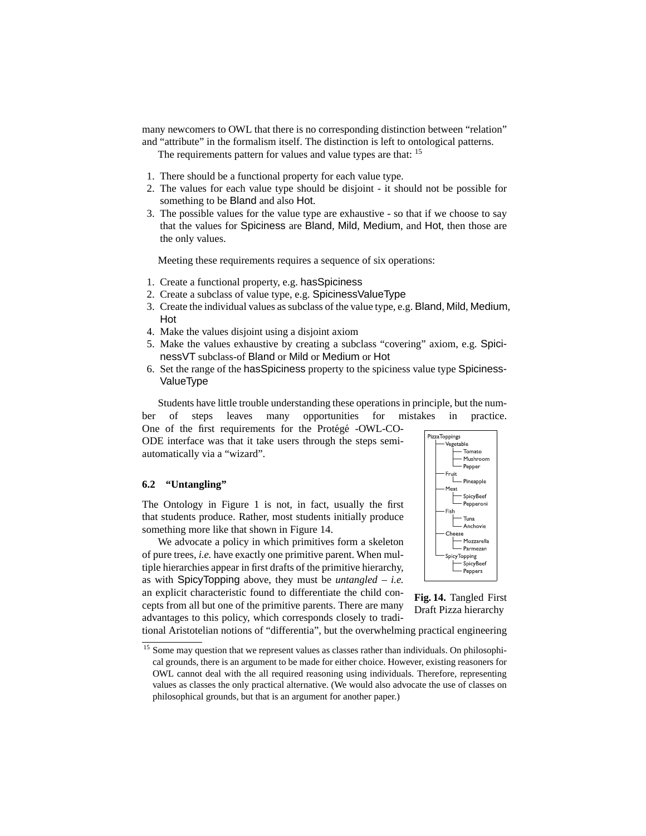many newcomers to OWL that there is no corresponding distinction between "relation" and "attribute" in the formalism itself. The distinction is left to ontological patterns.

The requirements pattern for values and value types are that: <sup>15</sup>

- 1. There should be a functional property for each value type.
- 2. The values for each value type should be disjoint it should not be possible for something to be Bland and also Hot.
- 3. The possible values for the value type are exhaustive so that if we choose to say that the values for Spiciness are Bland, Mild, Medium, and Hot, then those are the only values.

Meeting these requirements requires a sequence of six operations:

- 1. Create a functional property, e.g. hasSpiciness
- 2. Create a subclass of value type, e.g. SpicinessValueType
- 3. Create the individual values as subclass of the value type, e.g. Bland, Mild, Medium, Hot
- 4. Make the values disjoint using a disjoint axiom
- 5. Make the values exhaustive by creating a subclass "covering" axiom, e.g. SpicinessVT subclass-of Bland or Mild or Medium or Hot
- 6. Set the range of the hasSpiciness property to the spiciness value type Spiciness-ValueType

Students have little trouble understanding these operations in principle, but the number of steps leaves many opportunities for mistakes in practice.

One of the first requirements for the Protégé -OWL-CO-ODE interface was that it take users through the steps semiautomatically via a "wizard".

### **6.2 "Untangling"**

The Ontology in Figure 1 is not, in fact, usually the first that students produce. Rather, most students initially produce something more like that shown in Figure 14.

We advocate a policy in which primitives form a skeleton of pure trees, *i.e.* have exactly one primitive parent. When multiple hierarchies appear in first drafts of the primitive hierarchy, as with SpicyTopping above, they must be *untangled* – *i.e.* an explicit characteristic found to differentiate the child concepts from all but one of the primitive parents. There are many advantages to this policy, which corresponds closely to tradi-

tional Aristotelian notions of "differentia", but the overwhelming practical engineering





<sup>&</sup>lt;sup>15</sup> Some may question that we represent values as classes rather than individuals. On philosophical grounds, there is an argument to be made for either choice. However, existing reasoners for OWL cannot deal with the all required reasoning using individuals. Therefore, representing values as classes the only practical alternative. (We would also advocate the use of classes on philosophical grounds, but that is an argument for another paper.)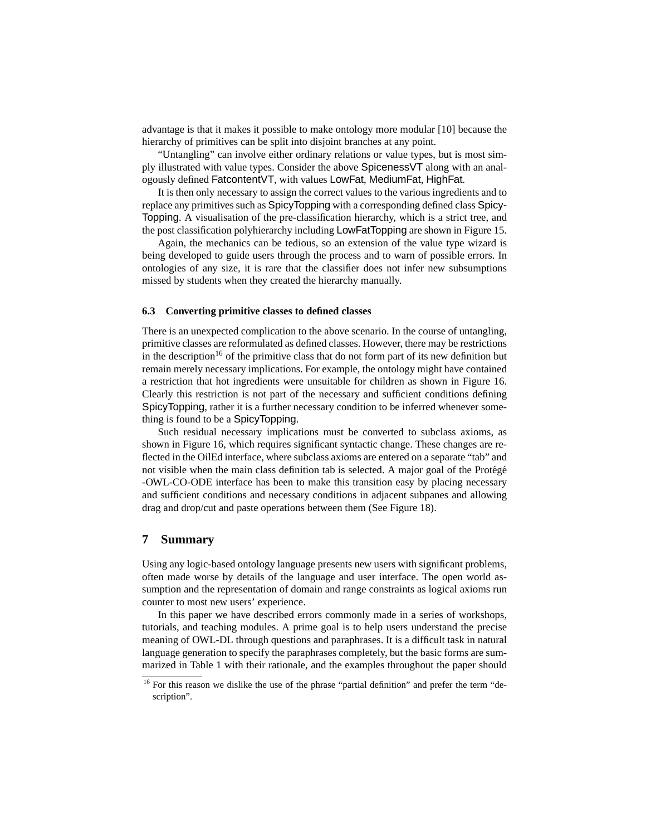advantage is that it makes it possible to make ontology more modular [10] because the hierarchy of primitives can be split into disjoint branches at any point.

"Untangling" can involve either ordinary relations or value types, but is most simply illustrated with value types. Consider the above SpicenessVT along with an analogously defined FatcontentVT, with values LowFat, MediumFat, HighFat.

It is then only necessary to assign the correct values to the various ingredients and to replace any primitives such as SpicyTopping with a corresponding defined class Spicy-Topping. A visualisation of the pre-classification hierarchy, which is a strict tree, and the post classification polyhierarchy including LowFatTopping are shown in Figure 15.

Again, the mechanics can be tedious, so an extension of the value type wizard is being developed to guide users through the process and to warn of possible errors. In ontologies of any size, it is rare that the classifier does not infer new subsumptions missed by students when they created the hierarchy manually.

### **6.3 Converting primitive classes to defined classes**

There is an unexpected complication to the above scenario. In the course of untangling, primitive classes are reformulated as defined classes. However, there may be restrictions in the description<sup>16</sup> of the primitive class that do not form part of its new definition but remain merely necessary implications. For example, the ontology might have contained a restriction that hot ingredients were unsuitable for children as shown in Figure 16. Clearly this restriction is not part of the necessary and sufficient conditions defining SpicyTopping, rather it is a further necessary condition to be inferred whenever something is found to be a SpicyTopping.

Such residual necessary implications must be converted to subclass axioms, as shown in Figure 16, which requires significant syntactic change. These changes are reflected in the OilEd interface, where subclass axioms are entered on a separate "tab" and not visible when the main class definition tab is selected. A major goal of the Protégé -OWL-CO-ODE interface has been to make this transition easy by placing necessary and sufficient conditions and necessary conditions in adjacent subpanes and allowing drag and drop/cut and paste operations between them (See Figure 18).

### **7 Summary**

Using any logic-based ontology language presents new users with significant problems, often made worse by details of the language and user interface. The open world assumption and the representation of domain and range constraints as logical axioms run counter to most new users' experience.

In this paper we have described errors commonly made in a series of workshops, tutorials, and teaching modules. A prime goal is to help users understand the precise meaning of OWL-DL through questions and paraphrases. It is a difficult task in natural language generation to specify the paraphrases completely, but the basic forms are summarized in Table 1 with their rationale, and the examples throughout the paper should

<sup>&</sup>lt;sup>16</sup> For this reason we dislike the use of the phrase "partial definition" and prefer the term "description".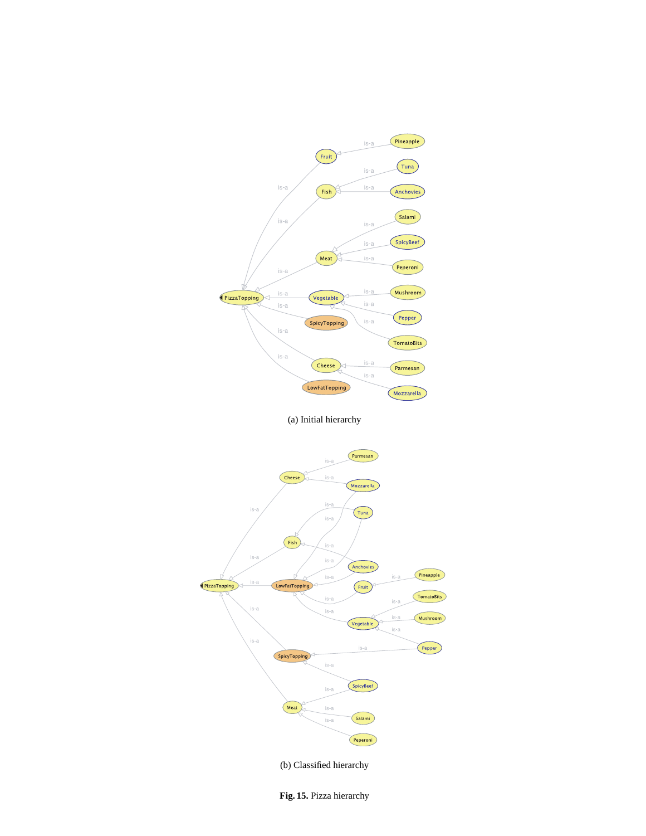





(b) Classified hierarchy

**Fig. 15.** Pizza hierarchy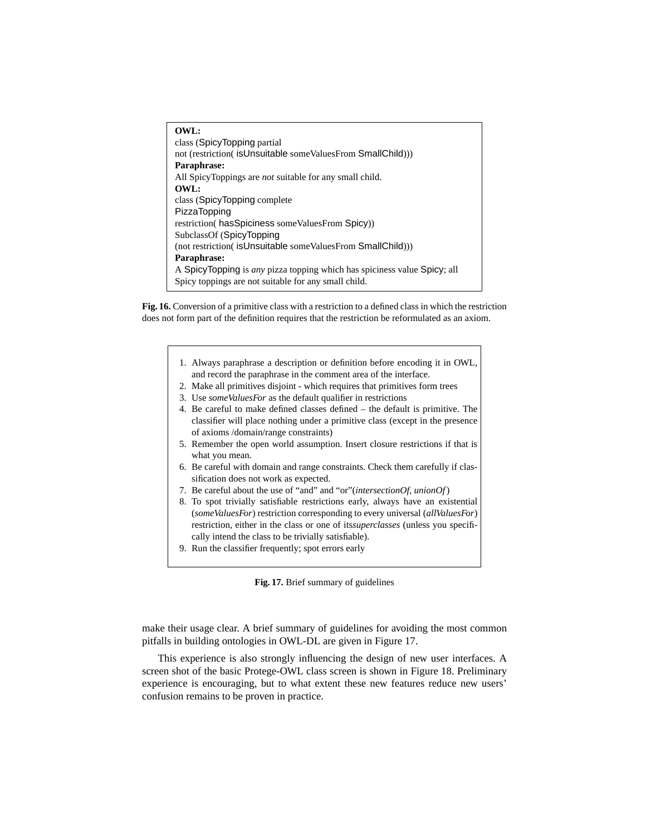| OWL:                                                                     |
|--------------------------------------------------------------------------|
| class (SpicyTopping partial)                                             |
| not (restriction(isUnsuitable someValuesFrom SmallChild)))               |
| Paraphrase:                                                              |
| All SpicyToppings are <i>not</i> suitable for any small child.           |
| OWL:                                                                     |
| class (SpicyTopping complete)                                            |
| PizzaTopping                                                             |
| restriction (has Spiciness some Values From Spicy))                      |
| SubclassOf (SpicyTopping                                                 |
| (not restriction(isUnsuitable someValuesFrom SmallChild)))               |
| Paraphrase:                                                              |
| A SpicyTopping is any pizza topping which has spiciness value Spicy; all |
| Spicy toppings are not suitable for any small child.                     |

**Fig. 16.** Conversion of a primitive class with a restriction to a defined class in which the restriction does not form part of the definition requires that the restriction be reformulated as an axiom.

- 1. Always paraphrase a description or definition before encoding it in OWL, and record the paraphrase in the comment area of the interface.
- 2. Make all primitives disjoint which requires that primitives form trees
- 3. Use *someValuesFor* as the default qualifier in restrictions
- 4. Be careful to make defined classes defined the default is primitive. The classifier will place nothing under a primitive class (except in the presence of axioms /domain/range constraints)
- 5. Remember the open world assumption. Insert closure restrictions if that is what you mean.
- 6. Be careful with domain and range constraints. Check them carefully if classification does not work as expected.
- 7. Be careful about the use of "and" and "or"(*intersectionOf, unionOf*)
- 8. To spot trivially satisfiable restrictions early, always have an existential (*someValuesFor*) restriction corresponding to every universal (*allValuesFor*) restriction, either in the class or one of its*superclasses* (unless you specifically intend the class to be trivially satisfiable).
- 9. Run the classifier frequently; spot errors early



make their usage clear. A brief summary of guidelines for avoiding the most common pitfalls in building ontologies in OWL-DL are given in Figure 17.

This experience is also strongly influencing the design of new user interfaces. A screen shot of the basic Protege-OWL class screen is shown in Figure 18. Preliminary experience is encouraging, but to what extent these new features reduce new users' confusion remains to be proven in practice.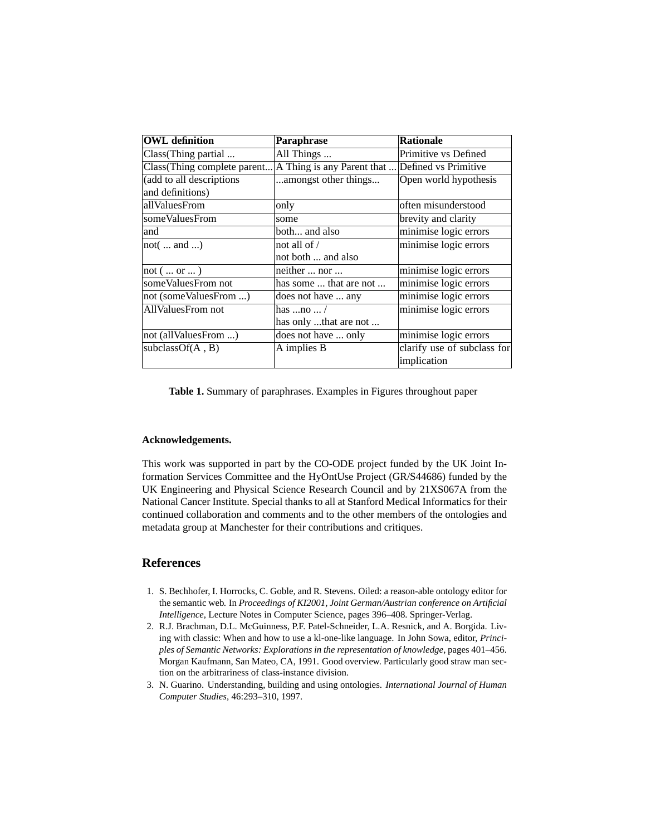| <b>OWL</b> definition       | Paraphrase                    | Rationale                   |
|-----------------------------|-------------------------------|-----------------------------|
| Class(Thing partial         | All Things                    | Primitive vs Defined        |
| Class(Thing complete parent | A Thing is any Parent that    | Defined vs Primitive        |
| (add to all descriptions    | amongst other things          | Open world hypothesis       |
| and definitions)            |                               |                             |
| allValuesFrom               | only                          | often misunderstood         |
| someValuesFrom              | some                          | brevity and clarity         |
| and                         | both and also                 | minimise logic errors       |
| $not($ and )                | not all of $/$                | minimise logic errors       |
|                             | not both  and also            |                             |
| not $(\ldots$ or $\ldots)$  | neither $\ldots$ nor $\ldots$ | minimise logic errors       |
| someValuesFrom not          | has some  that are not        | minimise logic errors       |
| not (someValuesFrom )       | does not have  any            | minimise logic errors       |
| AllValuesFrom not           | has $\dots$ no $\dots/$       | minimise logic errors       |
|                             | has only that are not         |                             |
| not (allValuesFrom )        | does not have  only           | minimise logic errors       |
| subclass $Of(A, B)$         | A implies B                   | clarify use of subclass for |
|                             |                               | implication                 |

**Table 1.** Summary of paraphrases. Examples in Figures throughout paper

### **Acknowledgements.**

This work was supported in part by the CO-ODE project funded by the UK Joint Information Services Committee and the HyOntUse Project (GR/S44686) funded by the UK Engineering and Physical Science Research Council and by 21XS067A from the National Cancer Institute. Special thanks to all at Stanford Medical Informatics for their continued collaboration and comments and to the other members of the ontologies and metadata group at Manchester for their contributions and critiques.

# **References**

- 1. S. Bechhofer, I. Horrocks, C. Goble, and R. Stevens. Oiled: a reason-able ontology editor for the semantic web. In *Proceedings of KI2001, Joint German/Austrian conference on Artificial Intelligence*, Lecture Notes in Computer Science, pages 396–408. Springer-Verlag.
- 2. R.J. Brachman, D.L. McGuinness, P.F. Patel-Schneider, L.A. Resnick, and A. Borgida. Living with classic: When and how to use a kl-one-like language. In John Sowa, editor, *Principles of Semantic Networks: Explorations in the representation of knowledge*, pages 401–456. Morgan Kaufmann, San Mateo, CA, 1991. Good overview. Particularly good straw man section on the arbitrariness of class-instance division.
- 3. N. Guarino. Understanding, building and using ontologies. *International Journal of Human Computer Studies*, 46:293–310, 1997.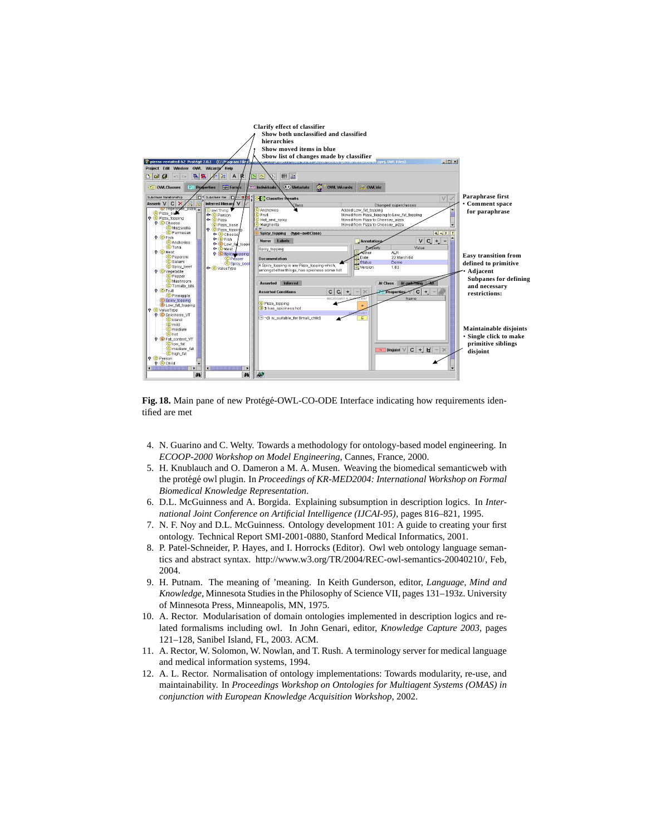

Fig. 18. Main pane of new Protégé-OWL-CO-ODE Interface indicating how requirements identified are met

- 4. N. Guarino and C. Welty. Towards a methodology for ontology-based model engineering. In *ECOOP-2000 Workshop on Model Engineering*, Cannes, France, 2000.
- 5. H. Knublauch and O. Dameron a M. A. Musen. Weaving the biomedical semanticweb with the protégé owl plugin. In *Proceedings of KR-MED2004: International Workshop on Formal Biomedical Knowledge Representation*.
- 6. D.L. McGuinness and A. Borgida. Explaining subsumption in description logics. In *International Joint Conference on Artificial Intelligence (IJCAI-95)*, pages 816–821, 1995.
- 7. N. F. Noy and D.L. McGuinness. Ontology development 101: A guide to creating your first ontology. Technical Report SMI-2001-0880, Stanford Medical Informatics, 2001.
- 8. P. Patel-Schneider, P. Hayes, and I. Horrocks (Editor). Owl web ontology language semantics and abstract syntax. http://www.w3.org/TR/2004/REC-owl-semantics-20040210/, Feb, 2004.
- 9. H. Putnam. The meaning of 'meaning. In Keith Gunderson, editor, *Language, Mind and Knowledge*, Minnesota Studies in the Philosophy of Science VII, pages 131–193z. University of Minnesota Press, Minneapolis, MN, 1975.
- 10. A. Rector. Modularisation of domain ontologies implemented in description logics and related formalisms including owl. In John Genari, editor, *Knowledge Capture 2003*, pages 121–128, Sanibel Island, FL, 2003. ACM.
- 11. A. Rector, W. Solomon, W. Nowlan, and T. Rush. A terminology server for medical language and medical information systems, 1994.
- 12. A. L. Rector. Normalisation of ontology implementations: Towards modularity, re-use, and maintainability. In *Proceedings Workshop on Ontologies for Multiagent Systems (OMAS) in conjunction with European Knowledge Acquisition Workshop*, 2002.